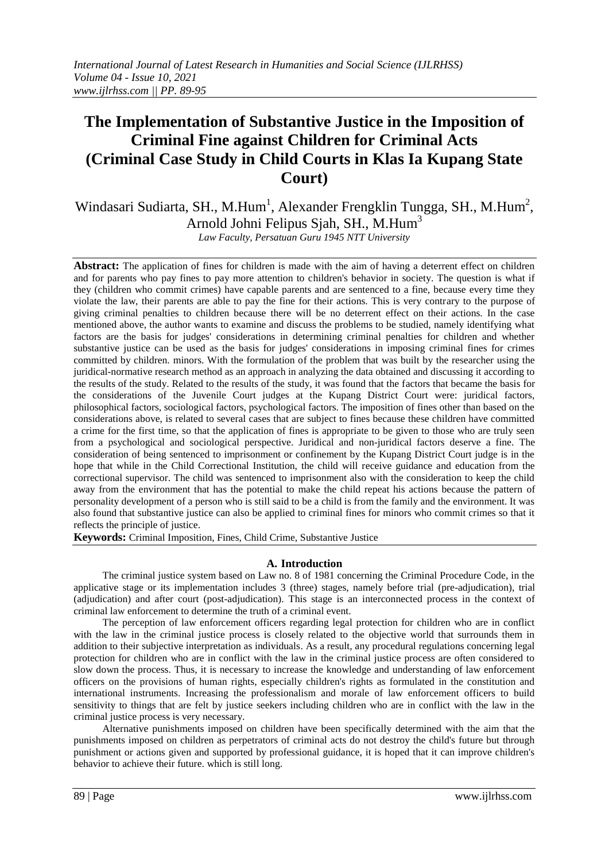# **The Implementation of Substantive Justice in the Imposition of Criminal Fine against Children for Criminal Acts (Criminal Case Study in Child Courts in Klas Ia Kupang State Court)**

Windasari Sudiarta, SH., M.Hum<sup>1</sup>, Alexander Frengklin Tungga, SH., M.Hum<sup>2</sup>, Arnold Johni Felipus Sjah, SH., M.Hum<sup>3</sup>

*Law Faculty, Persatuan Guru 1945 NTT University*

**Abstract:** The application of fines for children is made with the aim of having a deterrent effect on children and for parents who pay fines to pay more attention to children's behavior in society. The question is what if they (children who commit crimes) have capable parents and are sentenced to a fine, because every time they violate the law, their parents are able to pay the fine for their actions. This is very contrary to the purpose of giving criminal penalties to children because there will be no deterrent effect on their actions. In the case mentioned above, the author wants to examine and discuss the problems to be studied, namely identifying what factors are the basis for judges' considerations in determining criminal penalties for children and whether substantive justice can be used as the basis for judges' considerations in imposing criminal fines for crimes committed by children. minors. With the formulation of the problem that was built by the researcher using the juridical-normative research method as an approach in analyzing the data obtained and discussing it according to the results of the study. Related to the results of the study, it was found that the factors that became the basis for the considerations of the Juvenile Court judges at the Kupang District Court were: juridical factors, philosophical factors, sociological factors, psychological factors. The imposition of fines other than based on the considerations above, is related to several cases that are subject to fines because these children have committed a crime for the first time, so that the application of fines is appropriate to be given to those who are truly seen from a psychological and sociological perspective. Juridical and non-juridical factors deserve a fine. The consideration of being sentenced to imprisonment or confinement by the Kupang District Court judge is in the hope that while in the Child Correctional Institution, the child will receive guidance and education from the correctional supervisor. The child was sentenced to imprisonment also with the consideration to keep the child away from the environment that has the potential to make the child repeat his actions because the pattern of personality development of a person who is still said to be a child is from the family and the environment. It was also found that substantive justice can also be applied to criminal fines for minors who commit crimes so that it reflects the principle of justice.

**Keywords:** Criminal Imposition, Fines, Child Crime, Substantive Justice

### **A. Introduction**

The criminal justice system based on Law no. 8 of 1981 concerning the Criminal Procedure Code, in the applicative stage or its implementation includes 3 (three) stages, namely before trial (pre-adjudication), trial (adjudication) and after court (post-adjudication). This stage is an interconnected process in the context of criminal law enforcement to determine the truth of a criminal event.

The perception of law enforcement officers regarding legal protection for children who are in conflict with the law in the criminal justice process is closely related to the objective world that surrounds them in addition to their subjective interpretation as individuals. As a result, any procedural regulations concerning legal protection for children who are in conflict with the law in the criminal justice process are often considered to slow down the process. Thus, it is necessary to increase the knowledge and understanding of law enforcement officers on the provisions of human rights, especially children's rights as formulated in the constitution and international instruments. Increasing the professionalism and morale of law enforcement officers to build sensitivity to things that are felt by justice seekers including children who are in conflict with the law in the criminal justice process is very necessary.

Alternative punishments imposed on children have been specifically determined with the aim that the punishments imposed on children as perpetrators of criminal acts do not destroy the child's future but through punishment or actions given and supported by professional guidance, it is hoped that it can improve children's behavior to achieve their future. which is still long.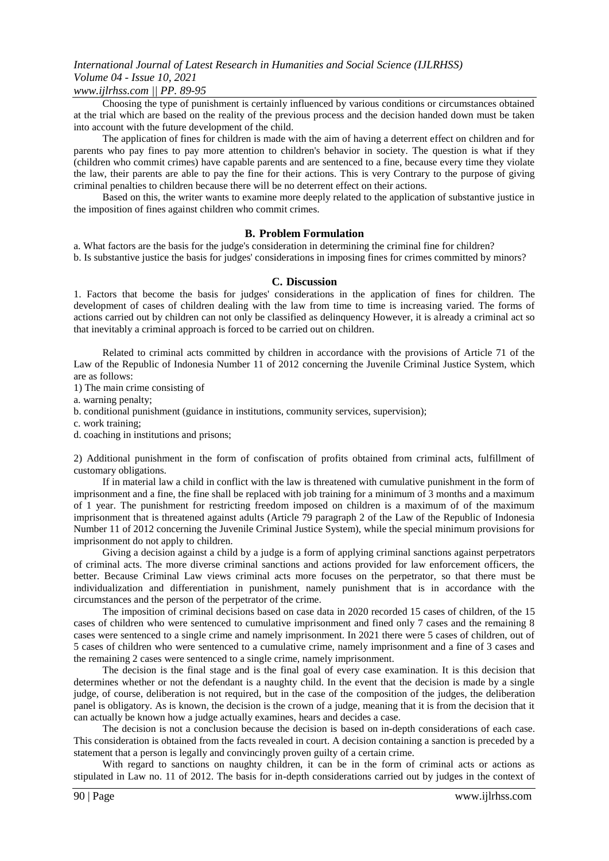### *www.ijlrhss.com || PP. 89-95*

Choosing the type of punishment is certainly influenced by various conditions or circumstances obtained at the trial which are based on the reality of the previous process and the decision handed down must be taken into account with the future development of the child.

The application of fines for children is made with the aim of having a deterrent effect on children and for parents who pay fines to pay more attention to children's behavior in society. The question is what if they (children who commit crimes) have capable parents and are sentenced to a fine, because every time they violate the law, their parents are able to pay the fine for their actions. This is very Contrary to the purpose of giving criminal penalties to children because there will be no deterrent effect on their actions.

Based on this, the writer wants to examine more deeply related to the application of substantive justice in the imposition of fines against children who commit crimes.

### **B. Problem Formulation**

a. What factors are the basis for the judge's consideration in determining the criminal fine for children? b. Is substantive justice the basis for judges' considerations in imposing fines for crimes committed by minors?

### **C. Discussion**

1. Factors that become the basis for judges' considerations in the application of fines for children. The development of cases of children dealing with the law from time to time is increasing varied. The forms of actions carried out by children can not only be classified as delinquency However, it is already a criminal act so that inevitably a criminal approach is forced to be carried out on children.

Related to criminal acts committed by children in accordance with the provisions of Article 71 of the Law of the Republic of Indonesia Number 11 of 2012 concerning the Juvenile Criminal Justice System, which are as follows:

1) The main crime consisting of

a. warning penalty;

b. conditional punishment (guidance in institutions, community services, supervision);

c. work training;

d. coaching in institutions and prisons;

2) Additional punishment in the form of confiscation of profits obtained from criminal acts, fulfillment of customary obligations.

If in material law a child in conflict with the law is threatened with cumulative punishment in the form of imprisonment and a fine, the fine shall be replaced with job training for a minimum of 3 months and a maximum of 1 year. The punishment for restricting freedom imposed on children is a maximum of of the maximum imprisonment that is threatened against adults (Article 79 paragraph 2 of the Law of the Republic of Indonesia Number 11 of 2012 concerning the Juvenile Criminal Justice System), while the special minimum provisions for imprisonment do not apply to children.

Giving a decision against a child by a judge is a form of applying criminal sanctions against perpetrators of criminal acts. The more diverse criminal sanctions and actions provided for law enforcement officers, the better. Because Criminal Law views criminal acts more focuses on the perpetrator, so that there must be individualization and differentiation in punishment, namely punishment that is in accordance with the circumstances and the person of the perpetrator of the crime.

The imposition of criminal decisions based on case data in 2020 recorded 15 cases of children, of the 15 cases of children who were sentenced to cumulative imprisonment and fined only 7 cases and the remaining 8 cases were sentenced to a single crime and namely imprisonment. In 2021 there were 5 cases of children, out of 5 cases of children who were sentenced to a cumulative crime, namely imprisonment and a fine of 3 cases and the remaining 2 cases were sentenced to a single crime, namely imprisonment.

The decision is the final stage and is the final goal of every case examination. It is this decision that determines whether or not the defendant is a naughty child. In the event that the decision is made by a single judge, of course, deliberation is not required, but in the case of the composition of the judges, the deliberation panel is obligatory. As is known, the decision is the crown of a judge, meaning that it is from the decision that it can actually be known how a judge actually examines, hears and decides a case.

The decision is not a conclusion because the decision is based on in-depth considerations of each case. This consideration is obtained from the facts revealed in court. A decision containing a sanction is preceded by a statement that a person is legally and convincingly proven guilty of a certain crime.

With regard to sanctions on naughty children, it can be in the form of criminal acts or actions as stipulated in Law no. 11 of 2012. The basis for in-depth considerations carried out by judges in the context of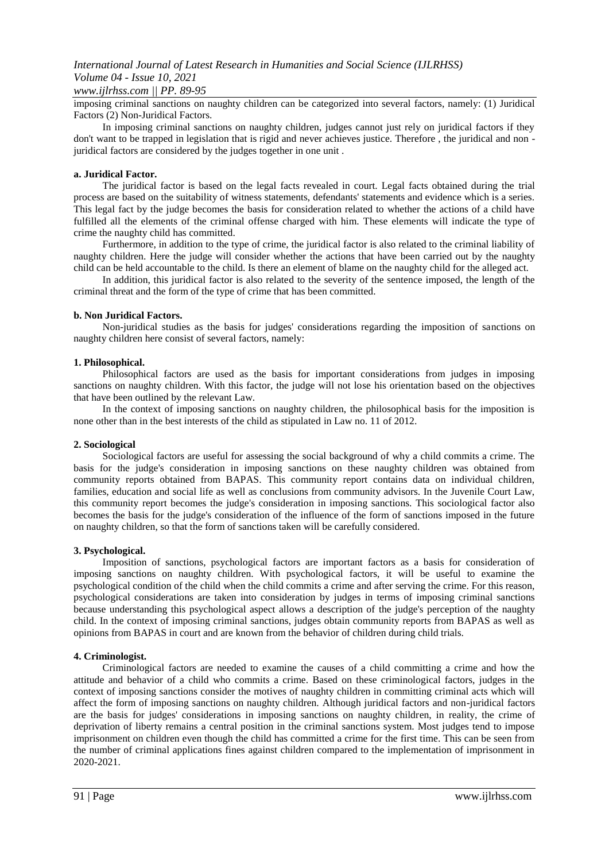### *www.ijlrhss.com || PP. 89-95*

imposing criminal sanctions on naughty children can be categorized into several factors, namely: (1) Juridical Factors (2) Non-Juridical Factors.

In imposing criminal sanctions on naughty children, judges cannot just rely on juridical factors if they don't want to be trapped in legislation that is rigid and never achieves justice. Therefore , the juridical and non juridical factors are considered by the judges together in one unit .

### **a. Juridical Factor.**

The juridical factor is based on the legal facts revealed in court. Legal facts obtained during the trial process are based on the suitability of witness statements, defendants' statements and evidence which is a series. This legal fact by the judge becomes the basis for consideration related to whether the actions of a child have fulfilled all the elements of the criminal offense charged with him. These elements will indicate the type of crime the naughty child has committed.

Furthermore, in addition to the type of crime, the juridical factor is also related to the criminal liability of naughty children. Here the judge will consider whether the actions that have been carried out by the naughty child can be held accountable to the child. Is there an element of blame on the naughty child for the alleged act.

In addition, this juridical factor is also related to the severity of the sentence imposed, the length of the criminal threat and the form of the type of crime that has been committed.

### **b. Non Juridical Factors.**

Non-juridical studies as the basis for judges' considerations regarding the imposition of sanctions on naughty children here consist of several factors, namely:

### **1. Philosophical.**

Philosophical factors are used as the basis for important considerations from judges in imposing sanctions on naughty children. With this factor, the judge will not lose his orientation based on the objectives that have been outlined by the relevant Law.

In the context of imposing sanctions on naughty children, the philosophical basis for the imposition is none other than in the best interests of the child as stipulated in Law no. 11 of 2012.

#### **2. Sociological**

Sociological factors are useful for assessing the social background of why a child commits a crime. The basis for the judge's consideration in imposing sanctions on these naughty children was obtained from community reports obtained from BAPAS. This community report contains data on individual children, families, education and social life as well as conclusions from community advisors. In the Juvenile Court Law, this community report becomes the judge's consideration in imposing sanctions. This sociological factor also becomes the basis for the judge's consideration of the influence of the form of sanctions imposed in the future on naughty children, so that the form of sanctions taken will be carefully considered.

#### **3. Psychological.**

Imposition of sanctions, psychological factors are important factors as a basis for consideration of imposing sanctions on naughty children. With psychological factors, it will be useful to examine the psychological condition of the child when the child commits a crime and after serving the crime. For this reason, psychological considerations are taken into consideration by judges in terms of imposing criminal sanctions because understanding this psychological aspect allows a description of the judge's perception of the naughty child. In the context of imposing criminal sanctions, judges obtain community reports from BAPAS as well as opinions from BAPAS in court and are known from the behavior of children during child trials.

#### **4. Criminologist.**

Criminological factors are needed to examine the causes of a child committing a crime and how the attitude and behavior of a child who commits a crime. Based on these criminological factors, judges in the context of imposing sanctions consider the motives of naughty children in committing criminal acts which will affect the form of imposing sanctions on naughty children. Although juridical factors and non-juridical factors are the basis for judges' considerations in imposing sanctions on naughty children, in reality, the crime of deprivation of liberty remains a central position in the criminal sanctions system. Most judges tend to impose imprisonment on children even though the child has committed a crime for the first time. This can be seen from the number of criminal applications fines against children compared to the implementation of imprisonment in 2020-2021.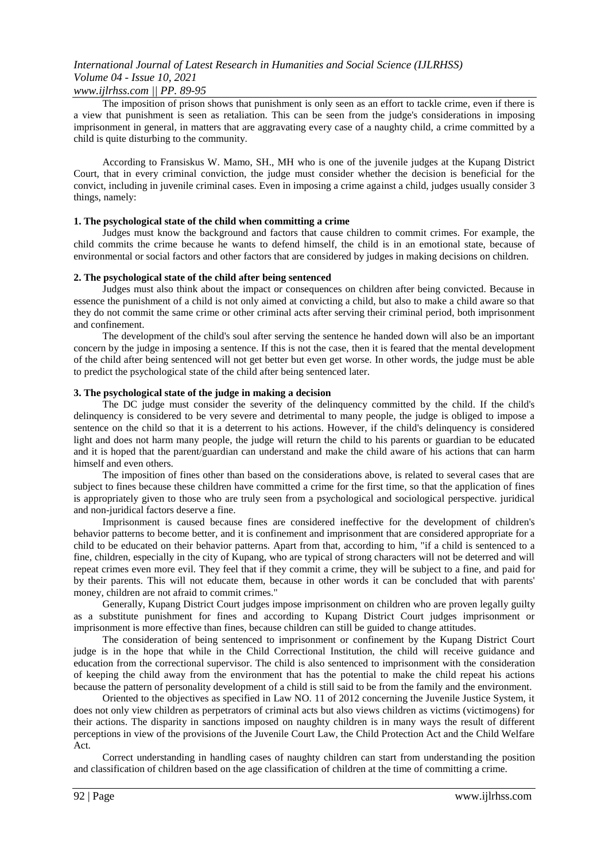### *www.ijlrhss.com || PP. 89-95*

The imposition of prison shows that punishment is only seen as an effort to tackle crime, even if there is a view that punishment is seen as retaliation. This can be seen from the judge's considerations in imposing imprisonment in general, in matters that are aggravating every case of a naughty child, a crime committed by a child is quite disturbing to the community.

According to Fransiskus W. Mamo, SH., MH who is one of the juvenile judges at the Kupang District Court, that in every criminal conviction, the judge must consider whether the decision is beneficial for the convict, including in juvenile criminal cases. Even in imposing a crime against a child, judges usually consider 3 things, namely:

### **1. The psychological state of the child when committing a crime**

Judges must know the background and factors that cause children to commit crimes. For example, the child commits the crime because he wants to defend himself, the child is in an emotional state, because of environmental or social factors and other factors that are considered by judges in making decisions on children.

### **2. The psychological state of the child after being sentenced**

Judges must also think about the impact or consequences on children after being convicted. Because in essence the punishment of a child is not only aimed at convicting a child, but also to make a child aware so that they do not commit the same crime or other criminal acts after serving their criminal period, both imprisonment and confinement.

The development of the child's soul after serving the sentence he handed down will also be an important concern by the judge in imposing a sentence. If this is not the case, then it is feared that the mental development of the child after being sentenced will not get better but even get worse. In other words, the judge must be able to predict the psychological state of the child after being sentenced later.

### **3. The psychological state of the judge in making a decision**

The DC judge must consider the severity of the delinquency committed by the child. If the child's delinquency is considered to be very severe and detrimental to many people, the judge is obliged to impose a sentence on the child so that it is a deterrent to his actions. However, if the child's delinquency is considered light and does not harm many people, the judge will return the child to his parents or guardian to be educated and it is hoped that the parent/guardian can understand and make the child aware of his actions that can harm himself and even others.

The imposition of fines other than based on the considerations above, is related to several cases that are subject to fines because these children have committed a crime for the first time, so that the application of fines is appropriately given to those who are truly seen from a psychological and sociological perspective. juridical and non-juridical factors deserve a fine.

Imprisonment is caused because fines are considered ineffective for the development of children's behavior patterns to become better, and it is confinement and imprisonment that are considered appropriate for a child to be educated on their behavior patterns. Apart from that, according to him, "if a child is sentenced to a fine, children, especially in the city of Kupang, who are typical of strong characters will not be deterred and will repeat crimes even more evil. They feel that if they commit a crime, they will be subject to a fine, and paid for by their parents. This will not educate them, because in other words it can be concluded that with parents' money, children are not afraid to commit crimes."

Generally, Kupang District Court judges impose imprisonment on children who are proven legally guilty as a substitute punishment for fines and according to Kupang District Court judges imprisonment or imprisonment is more effective than fines, because children can still be guided to change attitudes.

The consideration of being sentenced to imprisonment or confinement by the Kupang District Court judge is in the hope that while in the Child Correctional Institution, the child will receive guidance and education from the correctional supervisor. The child is also sentenced to imprisonment with the consideration of keeping the child away from the environment that has the potential to make the child repeat his actions because the pattern of personality development of a child is still said to be from the family and the environment.

Oriented to the objectives as specified in Law NO. 11 of 2012 concerning the Juvenile Justice System, it does not only view children as perpetrators of criminal acts but also views children as victims (victimogens) for their actions. The disparity in sanctions imposed on naughty children is in many ways the result of different perceptions in view of the provisions of the Juvenile Court Law, the Child Protection Act and the Child Welfare Act.

Correct understanding in handling cases of naughty children can start from understanding the position and classification of children based on the age classification of children at the time of committing a crime.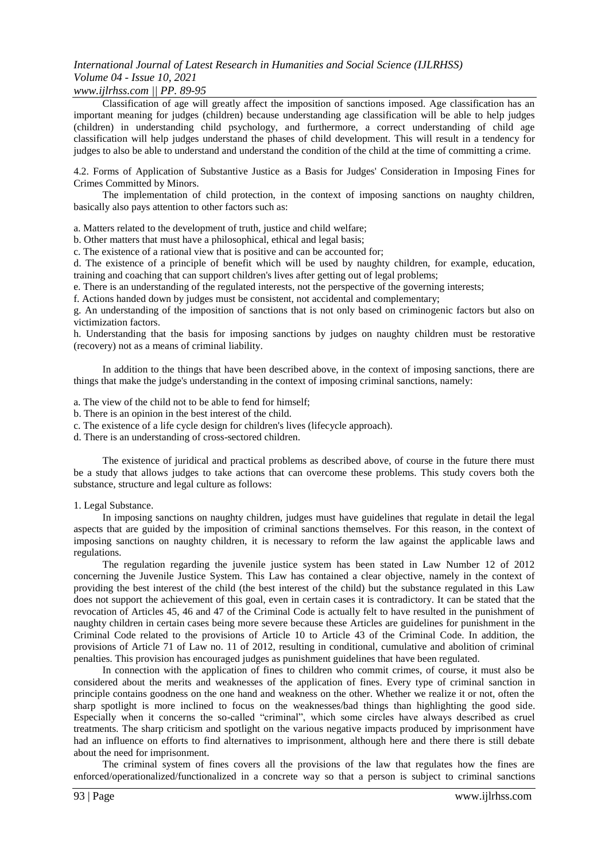### *www.ijlrhss.com || PP. 89-95*

Classification of age will greatly affect the imposition of sanctions imposed. Age classification has an important meaning for judges (children) because understanding age classification will be able to help judges (children) in understanding child psychology, and furthermore, a correct understanding of child age classification will help judges understand the phases of child development. This will result in a tendency for judges to also be able to understand and understand the condition of the child at the time of committing a crime.

4.2. Forms of Application of Substantive Justice as a Basis for Judges' Consideration in Imposing Fines for Crimes Committed by Minors.

The implementation of child protection, in the context of imposing sanctions on naughty children, basically also pays attention to other factors such as:

a. Matters related to the development of truth, justice and child welfare;

b. Other matters that must have a philosophical, ethical and legal basis;

c. The existence of a rational view that is positive and can be accounted for;

d. The existence of a principle of benefit which will be used by naughty children, for example, education, training and coaching that can support children's lives after getting out of legal problems;

e. There is an understanding of the regulated interests, not the perspective of the governing interests;

f. Actions handed down by judges must be consistent, not accidental and complementary;

g. An understanding of the imposition of sanctions that is not only based on criminogenic factors but also on victimization factors.

h. Understanding that the basis for imposing sanctions by judges on naughty children must be restorative (recovery) not as a means of criminal liability.

In addition to the things that have been described above, in the context of imposing sanctions, there are things that make the judge's understanding in the context of imposing criminal sanctions, namely:

a. The view of the child not to be able to fend for himself;

- b. There is an opinion in the best interest of the child.
- c. The existence of a life cycle design for children's lives (lifecycle approach).
- d. There is an understanding of cross-sectored children.

The existence of juridical and practical problems as described above, of course in the future there must be a study that allows judges to take actions that can overcome these problems. This study covers both the substance, structure and legal culture as follows:

#### 1. Legal Substance.

In imposing sanctions on naughty children, judges must have guidelines that regulate in detail the legal aspects that are guided by the imposition of criminal sanctions themselves. For this reason, in the context of imposing sanctions on naughty children, it is necessary to reform the law against the applicable laws and regulations.

The regulation regarding the juvenile justice system has been stated in Law Number 12 of 2012 concerning the Juvenile Justice System. This Law has contained a clear objective, namely in the context of providing the best interest of the child (the best interest of the child) but the substance regulated in this Law does not support the achievement of this goal, even in certain cases it is contradictory. It can be stated that the revocation of Articles 45, 46 and 47 of the Criminal Code is actually felt to have resulted in the punishment of naughty children in certain cases being more severe because these Articles are guidelines for punishment in the Criminal Code related to the provisions of Article 10 to Article 43 of the Criminal Code. In addition, the provisions of Article 71 of Law no. 11 of 2012, resulting in conditional, cumulative and abolition of criminal penalties. This provision has encouraged judges as punishment guidelines that have been regulated.

In connection with the application of fines to children who commit crimes, of course, it must also be considered about the merits and weaknesses of the application of fines. Every type of criminal sanction in principle contains goodness on the one hand and weakness on the other. Whether we realize it or not, often the sharp spotlight is more inclined to focus on the weaknesses/bad things than highlighting the good side. Especially when it concerns the so-called "criminal", which some circles have always described as cruel treatments. The sharp criticism and spotlight on the various negative impacts produced by imprisonment have had an influence on efforts to find alternatives to imprisonment, although here and there there is still debate about the need for imprisonment.

The criminal system of fines covers all the provisions of the law that regulates how the fines are enforced/operationalized/functionalized in a concrete way so that a person is subject to criminal sanctions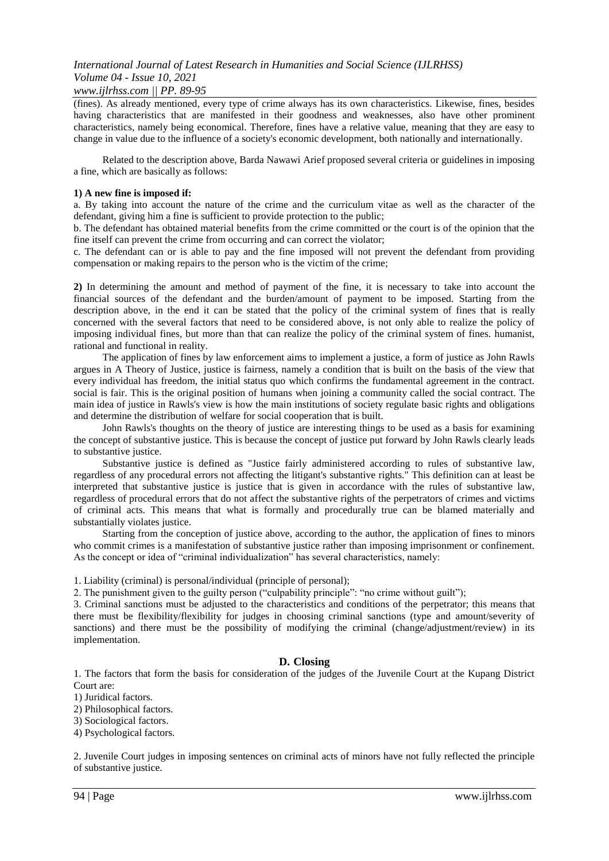### *www.ijlrhss.com || PP. 89-95*

(fines). As already mentioned, every type of crime always has its own characteristics. Likewise, fines, besides having characteristics that are manifested in their goodness and weaknesses, also have other prominent characteristics, namely being economical. Therefore, fines have a relative value, meaning that they are easy to change in value due to the influence of a society's economic development, both nationally and internationally.

Related to the description above, Barda Nawawi Arief proposed several criteria or guidelines in imposing a fine, which are basically as follows:

### **1) A new fine is imposed if:**

a. By taking into account the nature of the crime and the curriculum vitae as well as the character of the defendant, giving him a fine is sufficient to provide protection to the public;

b. The defendant has obtained material benefits from the crime committed or the court is of the opinion that the fine itself can prevent the crime from occurring and can correct the violator;

c. The defendant can or is able to pay and the fine imposed will not prevent the defendant from providing compensation or making repairs to the person who is the victim of the crime;

**2)** In determining the amount and method of payment of the fine, it is necessary to take into account the financial sources of the defendant and the burden/amount of payment to be imposed. Starting from the description above, in the end it can be stated that the policy of the criminal system of fines that is really concerned with the several factors that need to be considered above, is not only able to realize the policy of imposing individual fines, but more than that can realize the policy of the criminal system of fines. humanist, rational and functional in reality.

The application of fines by law enforcement aims to implement a justice, a form of justice as John Rawls argues in A Theory of Justice, justice is fairness, namely a condition that is built on the basis of the view that every individual has freedom, the initial status quo which confirms the fundamental agreement in the contract. social is fair. This is the original position of humans when joining a community called the social contract. The main idea of justice in Rawls's view is how the main institutions of society regulate basic rights and obligations and determine the distribution of welfare for social cooperation that is built.

John Rawls's thoughts on the theory of justice are interesting things to be used as a basis for examining the concept of substantive justice. This is because the concept of justice put forward by John Rawls clearly leads to substantive justice.

Substantive justice is defined as "Justice fairly administered according to rules of substantive law, regardless of any procedural errors not affecting the litigant's substantive rights." This definition can at least be interpreted that substantive justice is justice that is given in accordance with the rules of substantive law, regardless of procedural errors that do not affect the substantive rights of the perpetrators of crimes and victims of criminal acts. This means that what is formally and procedurally true can be blamed materially and substantially violates justice.

Starting from the conception of justice above, according to the author, the application of fines to minors who commit crimes is a manifestation of substantive justice rather than imposing imprisonment or confinement. As the concept or idea of "criminal individualization" has several characteristics, namely:

1. Liability (criminal) is personal/individual (principle of personal);

2. The punishment given to the guilty person ("culpability principle": "no crime without guilt");

3. Criminal sanctions must be adjusted to the characteristics and conditions of the perpetrator; this means that there must be flexibility/flexibility for judges in choosing criminal sanctions (type and amount/severity of sanctions) and there must be the possibility of modifying the criminal (change/adjustment/review) in its implementation.

### **D. Closing**

1. The factors that form the basis for consideration of the judges of the Juvenile Court at the Kupang District Court are:

1) Juridical factors.

2) Philosophical factors.

3) Sociological factors.

4) Psychological factors.

2. Juvenile Court judges in imposing sentences on criminal acts of minors have not fully reflected the principle of substantive justice.